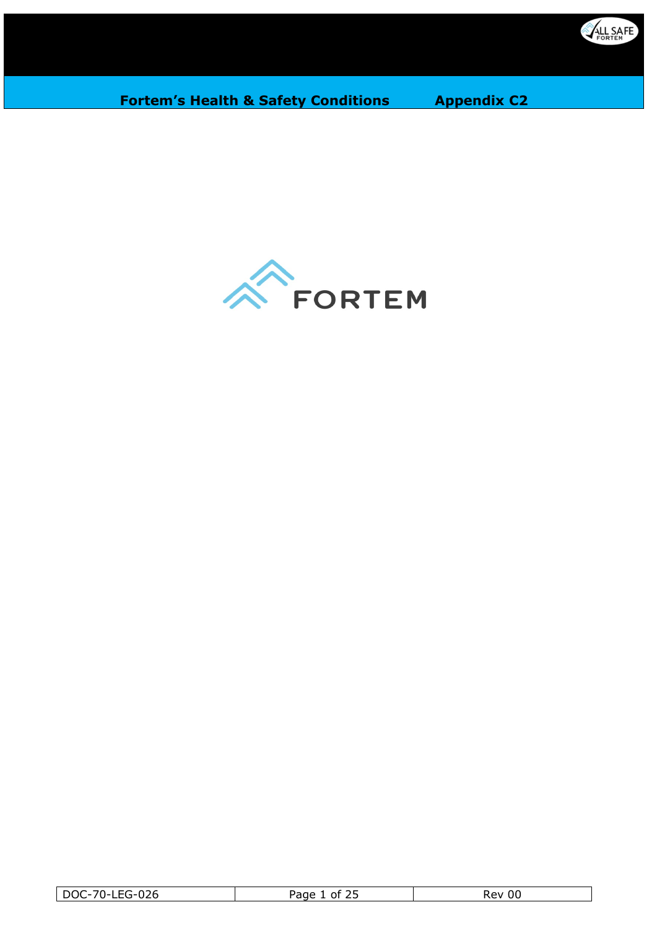

 $\mathbb{Z}^2$ 

**Fortem's Health & Safety Conditions Appendix C2** 



| -LEG-026<br>$\neg$<br>DOC-7 | $\sim$ $\sim$ $\sim$<br>ה הר<br>nt<br>ب ک | 00<br>kev. |
|-----------------------------|-------------------------------------------|------------|
|                             |                                           |            |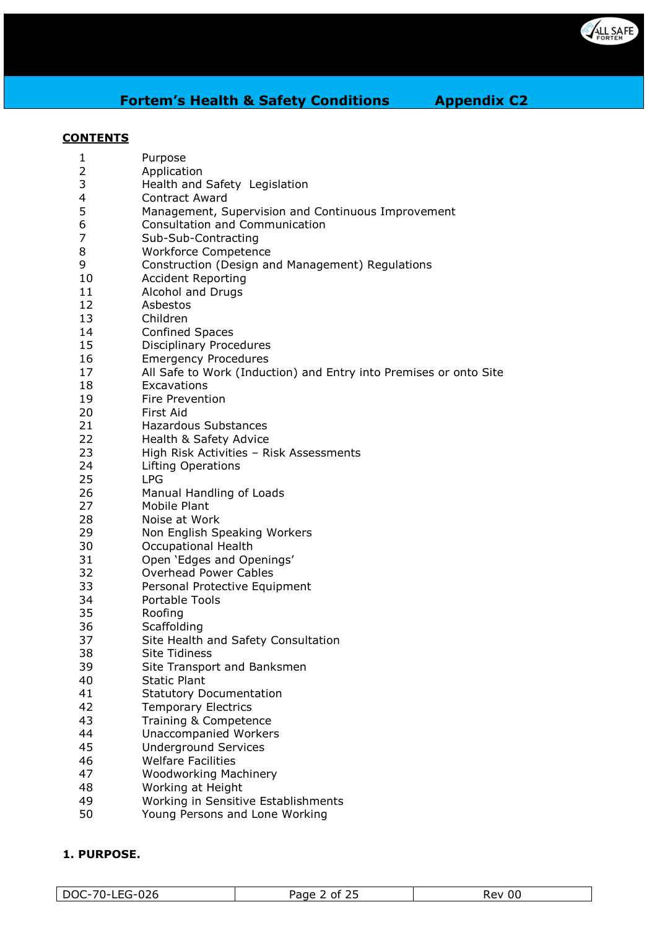

#### **CONTENTS**

| 1              | Purpose                                                           |
|----------------|-------------------------------------------------------------------|
| $\overline{2}$ | Application                                                       |
| 3              | Health and Safety Legislation                                     |
| 4              | <b>Contract Award</b>                                             |
| 5              | Management, Supervision and Continuous Improvement                |
| 6              | Consultation and Communication                                    |
| $\overline{7}$ | Sub-Sub-Contracting                                               |
| 8              | Workforce Competence                                              |
| 9              | Construction (Design and Management) Regulations                  |
| 10             | <b>Accident Reporting</b>                                         |
| 11             | Alcohol and Drugs                                                 |
| 12             | Asbestos                                                          |
| 13             | Children                                                          |
| 14             | <b>Confined Spaces</b>                                            |
| 15             | <b>Disciplinary Procedures</b>                                    |
| 16             | <b>Emergency Procedures</b>                                       |
| 17             | All Safe to Work (Induction) and Entry into Premises or onto Site |
| 18             | Excavations                                                       |
| 19             | <b>Fire Prevention</b>                                            |
| 20             | First Aid                                                         |
| 21             | Hazardous Substances                                              |
| 22             | Health & Safety Advice                                            |
| 23             | High Risk Activities - Risk Assessments                           |
| 24             | <b>Lifting Operations</b>                                         |
| 25             | <b>LPG</b>                                                        |
| 26             | Manual Handling of Loads                                          |
| 27             | Mobile Plant                                                      |
| 28             | Noise at Work                                                     |
| 29             | Non English Speaking Workers                                      |
| 30             | Occupational Health                                               |
| 31             | Open 'Edges and Openings'                                         |
| 32             | <b>Overhead Power Cables</b>                                      |
| 33             | Personal Protective Equipment                                     |
| 34             | <b>Portable Tools</b>                                             |
| 35             | Roofing                                                           |
| 36             | Scaffolding                                                       |
| 37             | Site Health and Safety Consultation                               |
| 38             | <b>Site Tidiness</b>                                              |
| 39             | Site Transport and Banksmen                                       |
| 40             | <b>Static Plant</b>                                               |
| 41             | <b>Statutory Documentation</b>                                    |
| 42             | <b>Temporary Electrics</b>                                        |
| 43             | Training & Competence                                             |
| 44             | Unaccompanied Workers                                             |
| 45             | <b>Underground Services</b>                                       |
| 46             | <b>Welfare Facilities</b>                                         |
| 47             | <b>Woodworking Machinery</b>                                      |
| 48             | Working at Height                                                 |
| 49             | Working in Sensitive Establishments                               |
| EΛ.            | ng Dorsons and Long Working                                       |

Young Persons and Lone Working

# **1. PURPOSE.**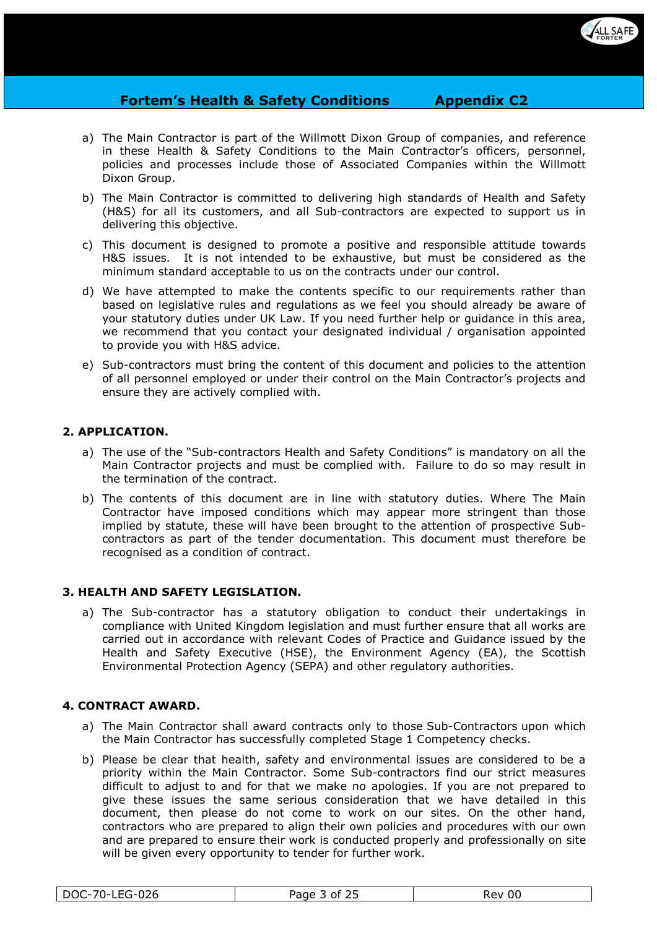

- a) The Main Contractor is part of the Willmott Dixon Group of companies, and reference in these Health & Safety Conditions to the Main Contractor's officers, personnel, policies and processes include those of Associated Companies within the Willmott Dixon Group.
- b) The Main Contractor is committed to delivering high standards of Health and Safety (H&S) for all its customers, and all Sub-contractors are expected to support us in delivering this objective.
- c) This document is designed to promote a positive and responsible attitude towards H&S issues. It is not intended to be exhaustive, but must be considered as the minimum standard acceptable to us on the contracts under our control.
- d) We have attempted to make the contents specific to our requirements rather than based on legislative rules and regulations as we feel you should already be aware of your statutory duties under UK Law. If you need further help or guidance in this area, we recommend that you contact your designated individual / organisation appointed to provide you with H&S advice.
- e) Sub-contractors must bring the content of this document and policies to the attention of all personnel employed or under their control on the Main Contractor's projects and ensure they are actively complied with.

# **2. APPLICATION.**

- a) The use of the "Sub-contractors Health and Safety Conditions" is mandatory on all the Main Contractor projects and must be complied with. Failure to do so may result in the termination of the contract.
- b) The contents of this document are in line with statutory duties. Where The Main Contractor have imposed conditions which may appear more stringent than those implied by statute, these will have been brought to the attention of prospective Subcontractors as part of the tender documentation. This document must therefore be recognised as a condition of contract.

## **3. HEALTH AND SAFETY LEGISLATION.**

a) The Sub-contractor has a statutory obligation to conduct their undertakings in compliance with United Kingdom legislation and must further ensure that all works are carried out in accordance with relevant Codes of Practice and Guidance issued by the Health and Safety Executive (HSE), the Environment Agency (EA), the Scottish Environmental Protection Agency (SEPA) and other regulatory authorities.

## **4. CONTRACT AWARD.**

- a) The Main Contractor shall award contracts only to those Sub-Contractors upon which the Main Contractor has successfully completed Stage 1 Competency checks.
- b) Please be clear that health, safety and environmental issues are considered to be a priority within the Main Contractor. Some Sub-contractors find our strict measures difficult to adjust to and for that we make no apologies. If you are not prepared to give these issues the same serious consideration that we have detailed in this document, then please do not come to work on our sites. On the other hand, contractors who are prepared to align their own policies and procedures with our own and are prepared to ensure their work is conducted properly and professionally on site will be given every opportunity to tender for further work.

| -ດລຂ<br>$70^{\circ}$<br><b>DOC</b><br>∵∪∠∪ | $\sim$ $-$<br>Page<br>∩t<br>. .<br><u>_ _</u> | Rev<br>UU |
|--------------------------------------------|-----------------------------------------------|-----------|
|                                            |                                               |           |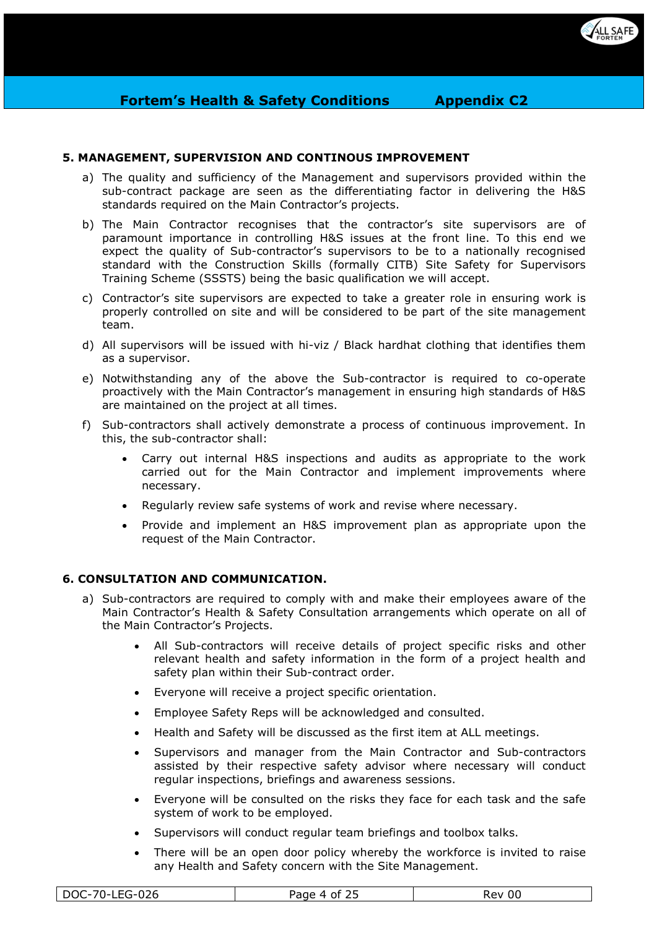

# **5. MANAGEMENT, SUPERVISION AND CONTINOUS IMPROVEMENT**

- a) The quality and sufficiency of the Management and supervisors provided within the sub-contract package are seen as the differentiating factor in delivering the H&S standards required on the Main Contractor's projects.
- b) The Main Contractor recognises that the contractor's site supervisors are of paramount importance in controlling H&S issues at the front line. To this end we expect the quality of Sub-contractor's supervisors to be to a nationally recognised standard with the Construction Skills (formally CITB) Site Safety for Supervisors Training Scheme (SSSTS) being the basic qualification we will accept.
- c) Contractor's site supervisors are expected to take a greater role in ensuring work is properly controlled on site and will be considered to be part of the site management team.
- d) All supervisors will be issued with hi-viz / Black hardhat clothing that identifies them as a supervisor.
- e) Notwithstanding any of the above the Sub-contractor is required to co-operate proactively with the Main Contractor's management in ensuring high standards of H&S are maintained on the project at all times.
- f) Sub-contractors shall actively demonstrate a process of continuous improvement. In this, the sub-contractor shall:
	- Carry out internal H&S inspections and audits as appropriate to the work carried out for the Main Contractor and implement improvements where necessary.
	- Regularly review safe systems of work and revise where necessary.
	- Provide and implement an H&S improvement plan as appropriate upon the request of the Main Contractor.

## **6. CONSULTATION AND COMMUNICATION.**

- a) Sub-contractors are required to comply with and make their employees aware of the Main Contractor's Health & Safety Consultation arrangements which operate on all of the Main Contractor's Projects.
	- All Sub-contractors will receive details of project specific risks and other relevant health and safety information in the form of a project health and safety plan within their Sub-contract order.
	- Everyone will receive a project specific orientation.
	- Employee Safety Reps will be acknowledged and consulted.
	- Health and Safety will be discussed as the first item at ALL meetings.
	- Supervisors and manager from the Main Contractor and Sub-contractors assisted by their respective safety advisor where necessary will conduct regular inspections, briefings and awareness sessions.
	- Everyone will be consulted on the risks they face for each task and the safe system of work to be employed.
	- Supervisors will conduct regular team briefings and toolbox talks.
	- There will be an open door policy whereby the workforce is invited to raise any Health and Safety concern with the Site Management.

| $-026$<br>$70-$<br>DOC<br>LEG-<br>⊔∟∪ | Page<br>t ot<br>$\Delta$ | Rev<br>υυ |
|---------------------------------------|--------------------------|-----------|
|---------------------------------------|--------------------------|-----------|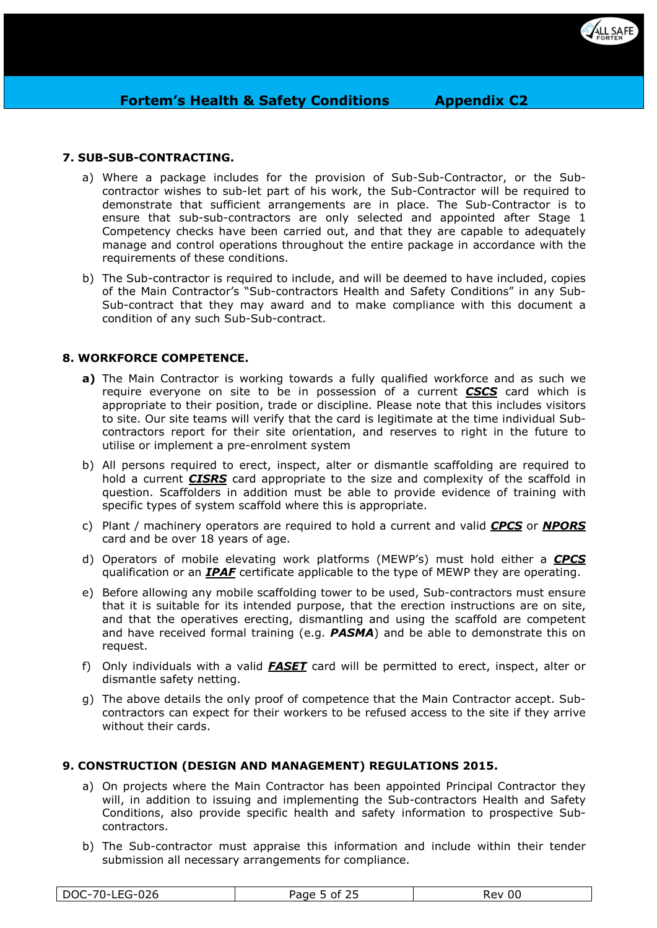

# **7. SUB-SUB-CONTRACTING.**

- a) Where a package includes for the provision of Sub-Sub-Contractor, or the Subcontractor wishes to sub-let part of his work, the Sub-Contractor will be required to demonstrate that sufficient arrangements are in place. The Sub-Contractor is to ensure that sub-sub-contractors are only selected and appointed after Stage 1 Competency checks have been carried out, and that they are capable to adequately manage and control operations throughout the entire package in accordance with the requirements of these conditions.
- b) The Sub-contractor is required to include, and will be deemed to have included, copies of the Main Contractor's "Sub-contractors Health and Safety Conditions" in any Sub-Sub-contract that they may award and to make compliance with this document a condition of any such Sub-Sub-contract.

# **8. WORKFORCE COMPETENCE.**

- **a)** The Main Contractor is working towards a fully qualified workforce and as such we require everyone on site to be in possession of a current *CSCS* card which is appropriate to their position, trade or discipline. Please note that this includes visitors to site. Our site teams will verify that the card is legitimate at the time individual Subcontractors report for their site orientation, and reserves to right in the future to utilise or implement a pre-enrolment system
- b) All persons required to erect, inspect, alter or dismantle scaffolding are required to hold a current *CISRS* card appropriate to the size and complexity of the scaffold in question. Scaffolders in addition must be able to provide evidence of training with specific types of system scaffold where this is appropriate.
- c) Plant / machinery operators are required to hold a current and valid *CPCS* or *NPORS*  card and be over 18 years of age.
- d) Operators of mobile elevating work platforms (MEWP's) must hold either a *CPCS* qualification or an *IPAF* certificate applicable to the type of MEWP they are operating.
- e) Before allowing any mobile scaffolding tower to be used, Sub-contractors must ensure that it is suitable for its intended purpose, that the erection instructions are on site, and that the operatives erecting, dismantling and using the scaffold are competent and have received formal training (e.g. *PASMA*) and be able to demonstrate this on request.
- f) Only individuals with a valid *FASET* card will be permitted to erect, inspect, alter or dismantle safety netting.
- g) The above details the only proof of competence that the Main Contractor accept. Subcontractors can expect for their workers to be refused access to the site if they arrive without their cards.

## **9. CONSTRUCTION (DESIGN AND MANAGEMENT) REGULATIONS 2015.**

- a) On projects where the Main Contractor has been appointed Principal Contractor they will, in addition to issuing and implementing the Sub-contractors Health and Safety Conditions, also provide specific health and safety information to prospective Subcontractors.
- b) The Sub-contractor must appraise this information and include within their tender submission all necessary arrangements for compliance.

| $70-$<br>ءص<br><b>DOC</b><br>LEG-′<br>ט בט- | $\sim$ $\sim$<br>Page L<br>- of | 00<br>Rev |
|---------------------------------------------|---------------------------------|-----------|
|---------------------------------------------|---------------------------------|-----------|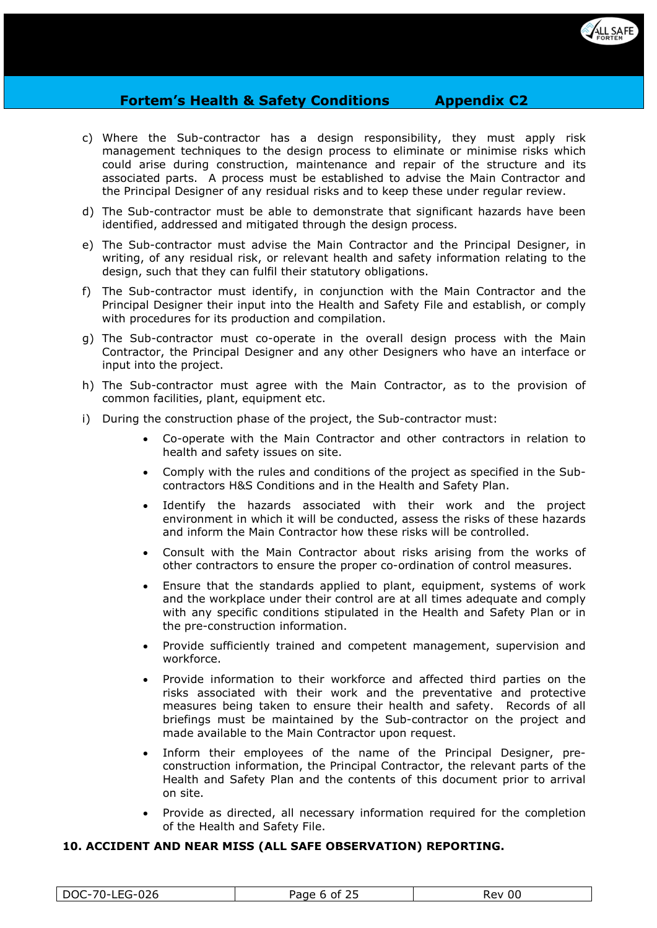

- c) Where the Sub-contractor has a design responsibility, they must apply risk management techniques to the design process to eliminate or minimise risks which could arise during construction, maintenance and repair of the structure and its associated parts. A process must be established to advise the Main Contractor and the Principal Designer of any residual risks and to keep these under regular review.
- d) The Sub-contractor must be able to demonstrate that significant hazards have been identified, addressed and mitigated through the design process.
- e) The Sub-contractor must advise the Main Contractor and the Principal Designer, in writing, of any residual risk, or relevant health and safety information relating to the design, such that they can fulfil their statutory obligations.
- f) The Sub-contractor must identify, in conjunction with the Main Contractor and the Principal Designer their input into the Health and Safety File and establish, or comply with procedures for its production and compilation.
- g) The Sub-contractor must co-operate in the overall design process with the Main Contractor, the Principal Designer and any other Designers who have an interface or input into the project.
- h) The Sub-contractor must agree with the Main Contractor, as to the provision of common facilities, plant, equipment etc.
- i) During the construction phase of the project, the Sub-contractor must:
	- Co-operate with the Main Contractor and other contractors in relation to health and safety issues on site.
	- Comply with the rules and conditions of the project as specified in the Subcontractors H&S Conditions and in the Health and Safety Plan.
	- Identify the hazards associated with their work and the project environment in which it will be conducted, assess the risks of these hazards and inform the Main Contractor how these risks will be controlled.
	- Consult with the Main Contractor about risks arising from the works of other contractors to ensure the proper co-ordination of control measures.
	- Ensure that the standards applied to plant, equipment, systems of work and the workplace under their control are at all times adequate and comply with any specific conditions stipulated in the Health and Safety Plan or in the pre-construction information.
	- Provide sufficiently trained and competent management, supervision and workforce.
	- Provide information to their workforce and affected third parties on the risks associated with their work and the preventative and protective measures being taken to ensure their health and safety. Records of all briefings must be maintained by the Sub-contractor on the project and made available to the Main Contractor upon request.
	- Inform their employees of the name of the Principal Designer, preconstruction information, the Principal Contractor, the relevant parts of the Health and Safety Plan and the contents of this document prior to arrival on site.
	- Provide as directed, all necessary information required for the completion of the Health and Safety File.

## **10. ACCIDENT AND NEAR MISS (ALL SAFE OBSERVATION) REPORTING.**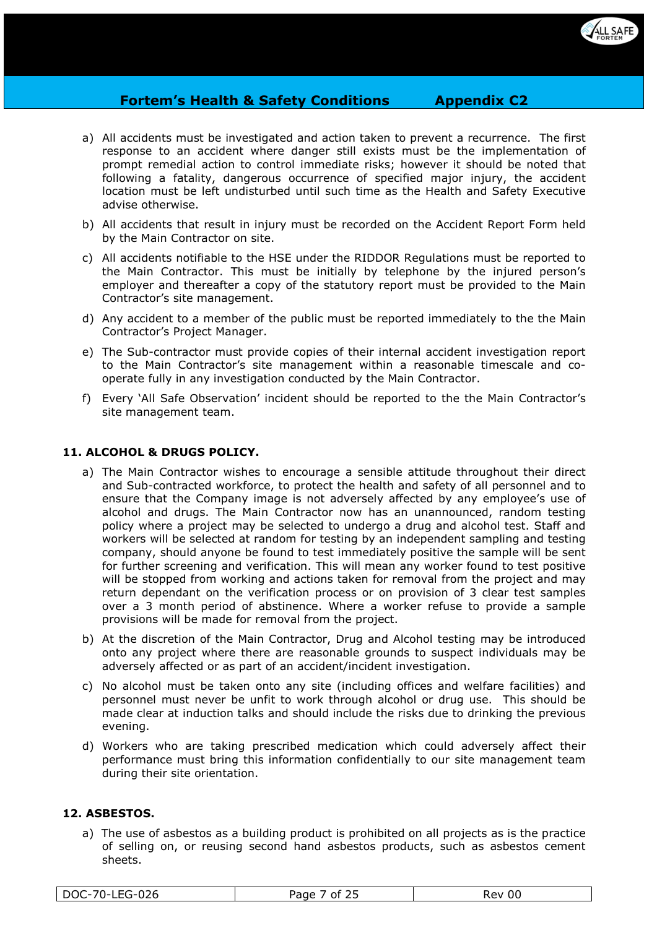

- a) All accidents must be investigated and action taken to prevent a recurrence. The first response to an accident where danger still exists must be the implementation of prompt remedial action to control immediate risks; however it should be noted that following a fatality, dangerous occurrence of specified major injury, the accident location must be left undisturbed until such time as the Health and Safety Executive advise otherwise.
- b) All accidents that result in injury must be recorded on the Accident Report Form held by the Main Contractor on site.
- c) All accidents notifiable to the HSE under the RIDDOR Regulations must be reported to the Main Contractor. This must be initially by telephone by the injured person's employer and thereafter a copy of the statutory report must be provided to the Main Contractor's site management.
- d) Any accident to a member of the public must be reported immediately to the the Main Contractor's Project Manager.
- e) The Sub-contractor must provide copies of their internal accident investigation report to the Main Contractor's site management within a reasonable timescale and cooperate fully in any investigation conducted by the Main Contractor.
- f) Every 'All Safe Observation' incident should be reported to the the Main Contractor's site management team.

## **11. ALCOHOL & DRUGS POLICY.**

- a) The Main Contractor wishes to encourage a sensible attitude throughout their direct and Sub-contracted workforce, to protect the health and safety of all personnel and to ensure that the Company image is not adversely affected by any employee's use of alcohol and drugs. The Main Contractor now has an unannounced, random testing policy where a project may be selected to undergo a drug and alcohol test. Staff and workers will be selected at random for testing by an independent sampling and testing company, should anyone be found to test immediately positive the sample will be sent for further screening and verification. This will mean any worker found to test positive will be stopped from working and actions taken for removal from the project and may return dependant on the verification process or on provision of 3 clear test samples over a 3 month period of abstinence. Where a worker refuse to provide a sample provisions will be made for removal from the project.
- b) At the discretion of the Main Contractor, Drug and Alcohol testing may be introduced onto any project where there are reasonable grounds to suspect individuals may be adversely affected or as part of an accident/incident investigation.
- c) No alcohol must be taken onto any site (including offices and welfare facilities) and personnel must never be unfit to work through alcohol or drug use. This should be made clear at induction talks and should include the risks due to drinking the previous evening.
- d) Workers who are taking prescribed medication which could adversely affect their performance must bring this information confidentially to our site management team during their site orientation.

# **12. ASBESTOS.**

a) The use of asbestos as a building product is prohibited on all projects as is the practice of selling on, or reusing second hand asbestos products, such as asbestos cement sheets.

| $-0.26$<br>70.<br>$E\cap$<br>DOC-<br>7 U –<br>≔∟ט⊐<br>־ט∠∪ | $\sim$ $\sim$<br>3222<br>Ωt<br>. .<br><u>_ </u> | 00<br>יים '<br>75 N |
|------------------------------------------------------------|-------------------------------------------------|---------------------|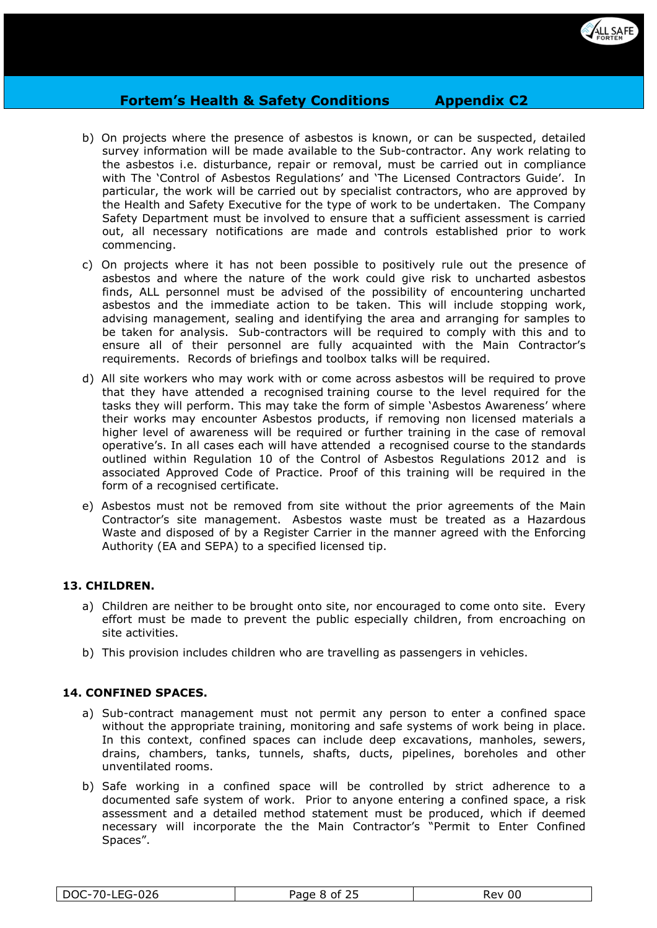

- b) On projects where the presence of asbestos is known, or can be suspected, detailed survey information will be made available to the Sub-contractor. Any work relating to the asbestos i.e. disturbance, repair or removal, must be carried out in compliance with The 'Control of Asbestos Regulations' and 'The Licensed Contractors Guide'. In particular, the work will be carried out by specialist contractors, who are approved by the Health and Safety Executive for the type of work to be undertaken. The Company Safety Department must be involved to ensure that a sufficient assessment is carried out, all necessary notifications are made and controls established prior to work commencing.
- c) On projects where it has not been possible to positively rule out the presence of asbestos and where the nature of the work could give risk to uncharted asbestos finds, ALL personnel must be advised of the possibility of encountering uncharted asbestos and the immediate action to be taken. This will include stopping work, advising management, sealing and identifying the area and arranging for samples to be taken for analysis. Sub-contractors will be required to comply with this and to ensure all of their personnel are fully acquainted with the Main Contractor's requirements. Records of briefings and toolbox talks will be required.
- d) All site workers who may work with or come across asbestos will be required to prove that they have attended a recognised training course to the level required for the tasks they will perform. This may take the form of simple 'Asbestos Awareness' where their works may encounter Asbestos products, if removing non licensed materials a higher level of awareness will be required or further training in the case of removal operative's. In all cases each will have attended a recognised course to the standards outlined within Regulation 10 of the Control of Asbestos Regulations 2012 and is associated Approved Code of Practice. Proof of this training will be required in the form of a recognised certificate.
- e) Asbestos must not be removed from site without the prior agreements of the Main Contractor's site management. Asbestos waste must be treated as a Hazardous Waste and disposed of by a Register Carrier in the manner agreed with the Enforcing Authority (EA and SEPA) to a specified licensed tip.

## **13. CHILDREN.**

- a) Children are neither to be brought onto site, nor encouraged to come onto site. Every effort must be made to prevent the public especially children, from encroaching on site activities.
- b) This provision includes children who are travelling as passengers in vehicles.

## **14. CONFINED SPACES.**

- a) Sub-contract management must not permit any person to enter a confined space without the appropriate training, monitoring and safe systems of work being in place. In this context, confined spaces can include deep excavations, manholes, sewers, drains, chambers, tanks, tunnels, shafts, ducts, pipelines, boreholes and other unventilated rooms.
- b) Safe working in a confined space will be controlled by strict adherence to a documented safe system of work. Prior to anyone entering a confined space, a risk assessment and a detailed method statement must be produced, which if deemed necessary will incorporate the the Main Contractor's "Permit to Enter Confined Spaces".

| I E C 026<br>$70^{\circ}$<br>DOC-<br>ט∠ט | つに<br>Page 8<br>∩t<br>້ | 00<br>- 77<br>ו שי |
|------------------------------------------|-------------------------|--------------------|
|                                          |                         |                    |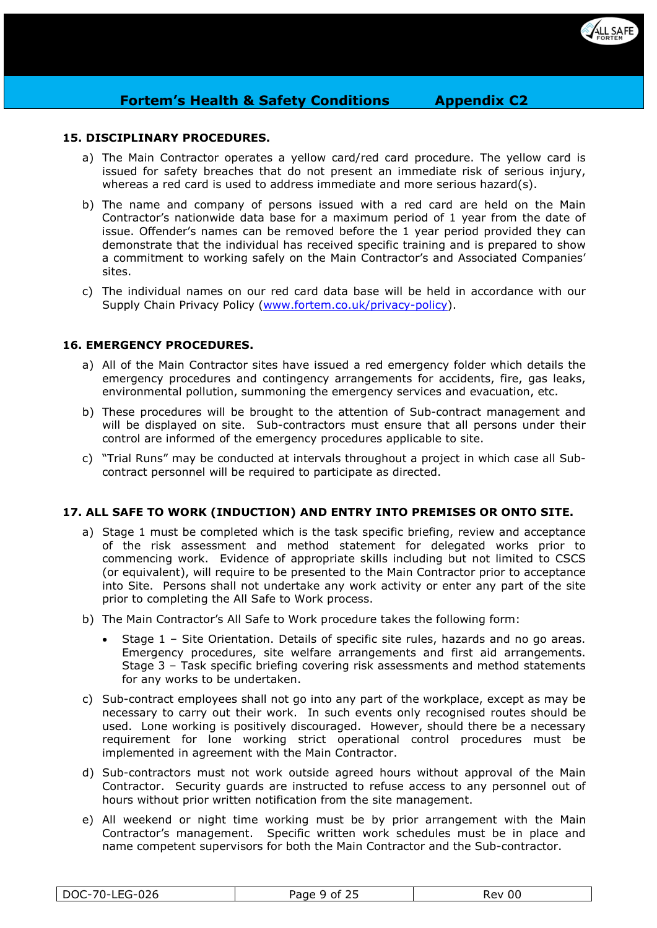

## **15. DISCIPLINARY PROCEDURES.**

- a) The Main Contractor operates a yellow card/red card procedure. The yellow card is issued for safety breaches that do not present an immediate risk of serious injury, whereas a red card is used to address immediate and more serious hazard(s).
- b) The name and company of persons issued with a red card are held on the Main Contractor's nationwide data base for a maximum period of 1 year from the date of issue. Offender's names can be removed before the 1 year period provided they can demonstrate that the individual has received specific training and is prepared to show a commitment to working safely on the Main Contractor's and Associated Companies' sites.
- c) The individual names on our red card data base will be held in accordance with our Supply Chain Privacy Policy [\(www.fortem.co.uk/privacy-policy\)](http://www.fortem.co.uk/privacy-policy).

## **16. EMERGENCY PROCEDURES.**

- a) All of the Main Contractor sites have issued a red emergency folder which details the emergency procedures and contingency arrangements for accidents, fire, gas leaks, environmental pollution, summoning the emergency services and evacuation, etc.
- b) These procedures will be brought to the attention of Sub-contract management and will be displayed on site. Sub-contractors must ensure that all persons under their control are informed of the emergency procedures applicable to site.
- c) "Trial Runs" may be conducted at intervals throughout a project in which case all Subcontract personnel will be required to participate as directed.

## **17. ALL SAFE TO WORK (INDUCTION) AND ENTRY INTO PREMISES OR ONTO SITE.**

- a) Stage 1 must be completed which is the task specific briefing, review and acceptance of the risk assessment and method statement for delegated works prior to commencing work. Evidence of appropriate skills including but not limited to CSCS (or equivalent), will require to be presented to the Main Contractor prior to acceptance into Site. Persons shall not undertake any work activity or enter any part of the site prior to completing the All Safe to Work process.
- b) The Main Contractor's All Safe to Work procedure takes the following form:
	- Stage 1 Site Orientation. Details of specific site rules, hazards and no go areas. Emergency procedures, site welfare arrangements and first aid arrangements. Stage 3 – Task specific briefing covering risk assessments and method statements for any works to be undertaken.
- c) Sub-contract employees shall not go into any part of the workplace, except as may be necessary to carry out their work. In such events only recognised routes should be used. Lone working is positively discouraged. However, should there be a necessary requirement for lone working strict operational control procedures must be implemented in agreement with the Main Contractor.
- d) Sub-contractors must not work outside agreed hours without approval of the Main Contractor. Security guards are instructed to refuse access to any personnel out of hours without prior written notification from the site management.
- e) All weekend or night time working must be by prior arrangement with the Main Contractor's management. Specific written work schedules must be in place and name competent supervisors for both the Main Contractor and the Sub-contractor.

| -LEG-026<br>DOC-70 | つに<br>Page<br>9 ∩t | 00<br>Rev |
|--------------------|--------------------|-----------|
|--------------------|--------------------|-----------|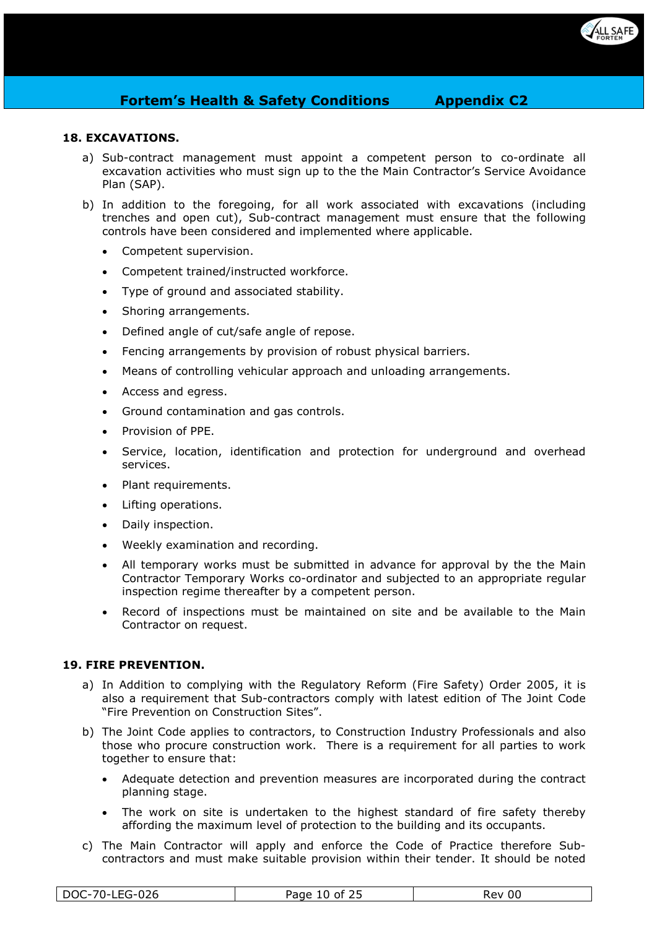

# **18. EXCAVATIONS.**

- a) Sub-contract management must appoint a competent person to co-ordinate all excavation activities who must sign up to the the Main Contractor's Service Avoidance Plan (SAP).
- b) In addition to the foregoing, for all work associated with excavations (including trenches and open cut), Sub-contract management must ensure that the following controls have been considered and implemented where applicable.
	- Competent supervision.
	- Competent trained/instructed workforce.
	- Type of ground and associated stability.
	- Shoring arrangements.
	- Defined angle of cut/safe angle of repose.
	- Fencing arrangements by provision of robust physical barriers.
	- Means of controlling vehicular approach and unloading arrangements.
	- Access and egress.
	- Ground contamination and gas controls.
	- Provision of PPE.
	- Service, location, identification and protection for underground and overhead services.
	- Plant requirements.
	- Lifting operations.
	- Daily inspection.
	- Weekly examination and recording.
	- All temporary works must be submitted in advance for approval by the the Main Contractor Temporary Works co-ordinator and subjected to an appropriate regular inspection regime thereafter by a competent person.
	- Record of inspections must be maintained on site and be available to the Main Contractor on request.

## **19. FIRE PREVENTION.**

- a) In Addition to complying with the Regulatory Reform (Fire Safety) Order 2005, it is also a requirement that Sub-contractors comply with latest edition of The Joint Code "Fire Prevention on Construction Sites".
- b) The Joint Code applies to contractors, to Construction Industry Professionals and also those who procure construction work. There is a requirement for all parties to work together to ensure that:
	- Adequate detection and prevention measures are incorporated during the contract planning stage.
	- The work on site is undertaken to the highest standard of fire safety thereby affording the maximum level of protection to the building and its occupants.
- c) The Main Contractor will apply and enforce the Code of Practice therefore Subcontractors and must make suitable provision within their tender. It should be noted

| DOC-70-LEG-026 | $\sim$ $\sim$ $\sim$<br>10 of<br>Page | Rev 00 |
|----------------|---------------------------------------|--------|
|                | رے                                    |        |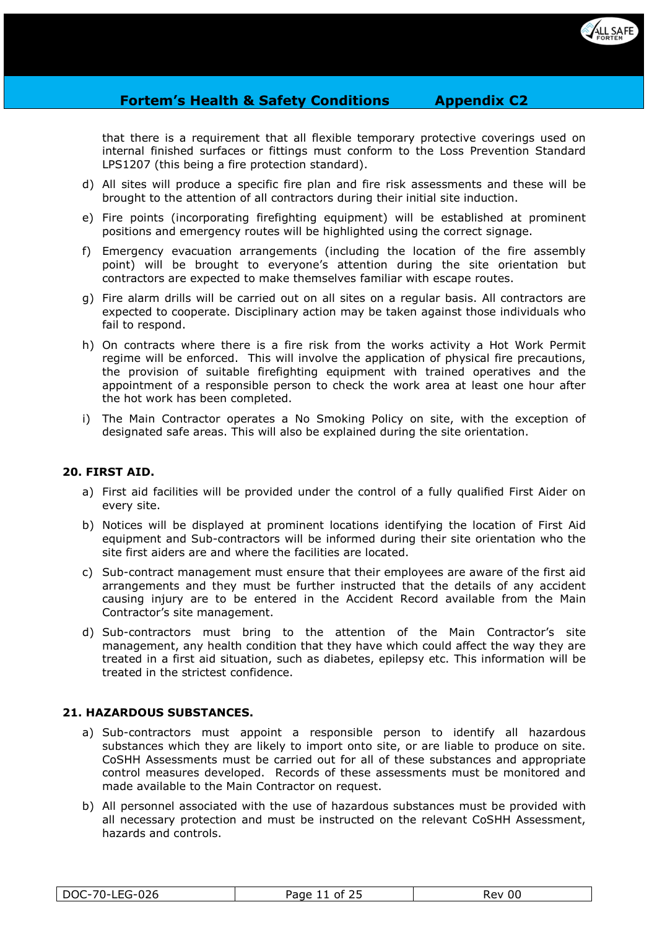

that there is a requirement that all flexible temporary protective coverings used on internal finished surfaces or fittings must conform to the Loss Prevention Standard LPS1207 (this being a fire protection standard).

- d) All sites will produce a specific fire plan and fire risk assessments and these will be brought to the attention of all contractors during their initial site induction.
- e) Fire points (incorporating firefighting equipment) will be established at prominent positions and emergency routes will be highlighted using the correct signage.
- f) Emergency evacuation arrangements (including the location of the fire assembly point) will be brought to everyone's attention during the site orientation but contractors are expected to make themselves familiar with escape routes.
- g) Fire alarm drills will be carried out on all sites on a regular basis. All contractors are expected to cooperate. Disciplinary action may be taken against those individuals who fail to respond.
- h) On contracts where there is a fire risk from the works activity a Hot Work Permit regime will be enforced. This will involve the application of physical fire precautions, the provision of suitable firefighting equipment with trained operatives and the appointment of a responsible person to check the work area at least one hour after the hot work has been completed.
- i) The Main Contractor operates a No Smoking Policy on site, with the exception of designated safe areas. This will also be explained during the site orientation.

## **20. FIRST AID.**

- a) First aid facilities will be provided under the control of a fully qualified First Aider on every site.
- b) Notices will be displayed at prominent locations identifying the location of First Aid equipment and Sub-contractors will be informed during their site orientation who the site first aiders are and where the facilities are located.
- c) Sub-contract management must ensure that their employees are aware of the first aid arrangements and they must be further instructed that the details of any accident causing injury are to be entered in the Accident Record available from the Main Contractor's site management.
- d) Sub-contractors must bring to the attention of the Main Contractor's site management, any health condition that they have which could affect the way they are treated in a first aid situation, such as diabetes, epilepsy etc. This information will be treated in the strictest confidence.

## **21. HAZARDOUS SUBSTANCES.**

- a) Sub-contractors must appoint a responsible person to identify all hazardous substances which they are likely to import onto site, or are liable to produce on site. CoSHH Assessments must be carried out for all of these substances and appropriate control measures developed. Records of these assessments must be monitored and made available to the Main Contractor on request.
- b) All personnel associated with the use of hazardous substances must be provided with all necessary protection and must be instructed on the relevant CoSHH Assessment, hazards and controls.

| 70-⊾<br>DOC<br>00<br>ot<br>kev.<br>∙∪∠o<br>uuc<br>້<br>-- |
|-----------------------------------------------------------|
|-----------------------------------------------------------|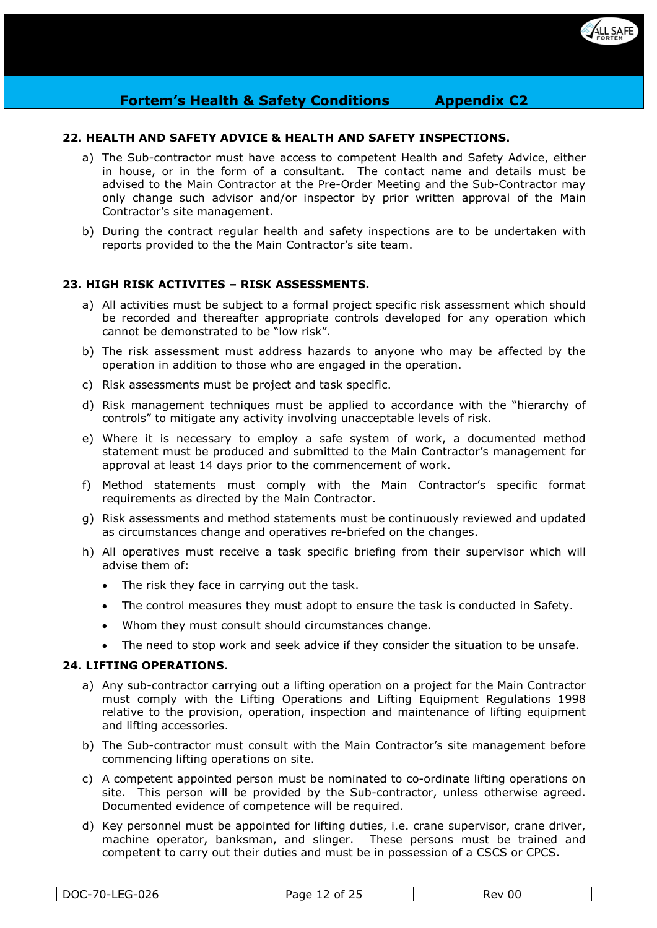

## **22. HEALTH AND SAFETY ADVICE & HEALTH AND SAFETY INSPECTIONS.**

- a) The Sub-contractor must have access to competent Health and Safety Advice, either in house, or in the form of a consultant. The contact name and details must be advised to the Main Contractor at the Pre-Order Meeting and the Sub-Contractor may only change such advisor and/or inspector by prior written approval of the Main Contractor's site management.
- b) During the contract regular health and safety inspections are to be undertaken with reports provided to the the Main Contractor's site team.

#### **23. HIGH RISK ACTIVITES – RISK ASSESSMENTS.**

- a) All activities must be subject to a formal project specific risk assessment which should be recorded and thereafter appropriate controls developed for any operation which cannot be demonstrated to be "low risk".
- b) The risk assessment must address hazards to anyone who may be affected by the operation in addition to those who are engaged in the operation.
- c) Risk assessments must be project and task specific.
- d) Risk management techniques must be applied to accordance with the "hierarchy of controls" to mitigate any activity involving unacceptable levels of risk.
- e) Where it is necessary to employ a safe system of work, a documented method statement must be produced and submitted to the Main Contractor's management for approval at least 14 days prior to the commencement of work.
- f) Method statements must comply with the Main Contractor's specific format requirements as directed by the Main Contractor.
- g) Risk assessments and method statements must be continuously reviewed and updated as circumstances change and operatives re-briefed on the changes.
- h) All operatives must receive a task specific briefing from their supervisor which will advise them of:
	- The risk they face in carrying out the task.
	- The control measures they must adopt to ensure the task is conducted in Safety.
	- Whom they must consult should circumstances change.
	- The need to stop work and seek advice if they consider the situation to be unsafe.

#### **24. LIFTING OPERATIONS.**

- a) Any sub-contractor carrying out a lifting operation on a project for the Main Contractor must comply with the Lifting Operations and Lifting Equipment Regulations 1998 relative to the provision, operation, inspection and maintenance of lifting equipment and lifting accessories.
- b) The Sub-contractor must consult with the Main Contractor's site management before commencing lifting operations on site.
- c) A competent appointed person must be nominated to co-ordinate lifting operations on site. This person will be provided by the Sub-contractor, unless otherwise agreed. Documented evidence of competence will be required.
- d) Key personnel must be appointed for lifting duties, i.e. crane supervisor, crane driver, machine operator, banksman, and slinger. These persons must be trained and competent to carry out their duties and must be in possession of a CSCS or CPCS.

| -70-l<br><b>LEG-026</b><br>DOC- | そつに<br>Page<br>of 25<br>ᅶ | -00<br>Rev |
|---------------------------------|---------------------------|------------|
|---------------------------------|---------------------------|------------|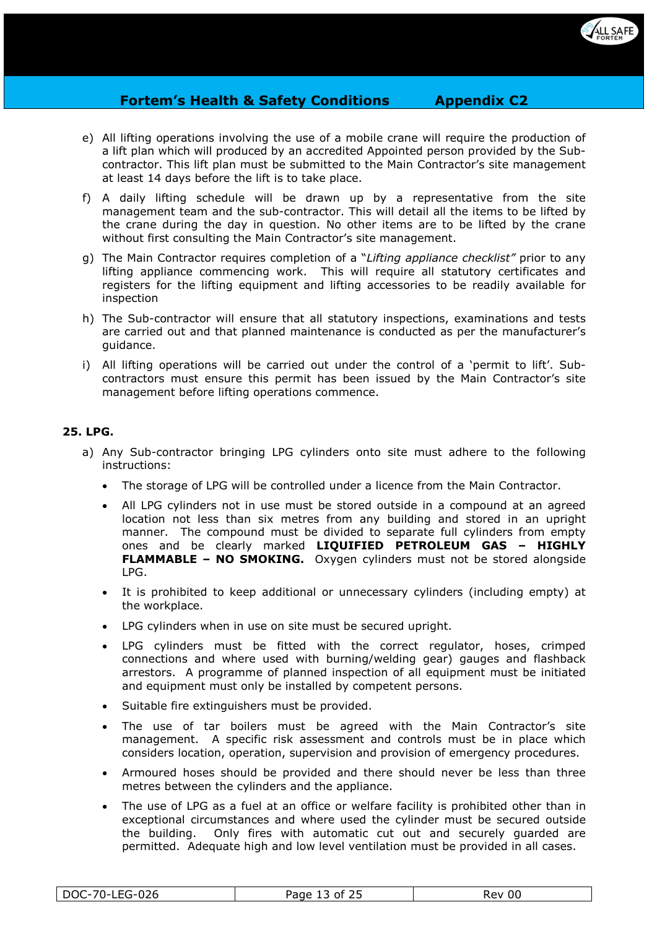

- e) All lifting operations involving the use of a mobile crane will require the production of a lift plan which will produced by an accredited Appointed person provided by the Subcontractor. This lift plan must be submitted to the Main Contractor's site management at least 14 days before the lift is to take place.
- f) A daily lifting schedule will be drawn up by a representative from the site management team and the sub-contractor. This will detail all the items to be lifted by the crane during the day in question. No other items are to be lifted by the crane without first consulting the Main Contractor's site management.
- g) The Main Contractor requires completion of a "*Lifting appliance checklist"* prior to any lifting appliance commencing work. This will require all statutory certificates and registers for the lifting equipment and lifting accessories to be readily available for inspection
- h) The Sub-contractor will ensure that all statutory inspections, examinations and tests are carried out and that planned maintenance is conducted as per the manufacturer's guidance.
- i) All lifting operations will be carried out under the control of a 'permit to lift'. Subcontractors must ensure this permit has been issued by the Main Contractor's site management before lifting operations commence.

# **25. LPG.**

- a) Any Sub-contractor bringing LPG cylinders onto site must adhere to the following instructions:
	- The storage of LPG will be controlled under a licence from the Main Contractor.
	- All LPG cylinders not in use must be stored outside in a compound at an agreed location not less than six metres from any building and stored in an upright manner. The compound must be divided to separate full cylinders from empty ones and be clearly marked **LIQUIFIED PETROLEUM GAS – HIGHLY FLAMMABLE – NO SMOKING.** Oxygen cylinders must not be stored alongside LPG.
	- It is prohibited to keep additional or unnecessary cylinders (including empty) at the workplace.
	- LPG cylinders when in use on site must be secured upright.
	- LPG cylinders must be fitted with the correct regulator, hoses, crimped connections and where used with burning/welding gear) gauges and flashback arrestors. A programme of planned inspection of all equipment must be initiated and equipment must only be installed by competent persons.
	- Suitable fire extinguishers must be provided.
	- The use of tar boilers must be agreed with the Main Contractor's site management. A specific risk assessment and controls must be in place which considers location, operation, supervision and provision of emergency procedures.
	- Armoured hoses should be provided and there should never be less than three metres between the cylinders and the appliance.
	- The use of LPG as a fuel at an office or welfare facility is prohibited other than in exceptional circumstances and where used the cylinder must be secured outside the building. Only fires with automatic cut out and securely guarded are permitted. Adequate high and low level ventilation must be provided in all cases.

| ndc<br>$70^{\circ}$<br>വറ<br>Page<br>יום?'<br>0t<br>, .<br>儿<br>υu<br>∪∠∪<br>ncv.<br>◡<br>້<br>__ |
|---------------------------------------------------------------------------------------------------|
|---------------------------------------------------------------------------------------------------|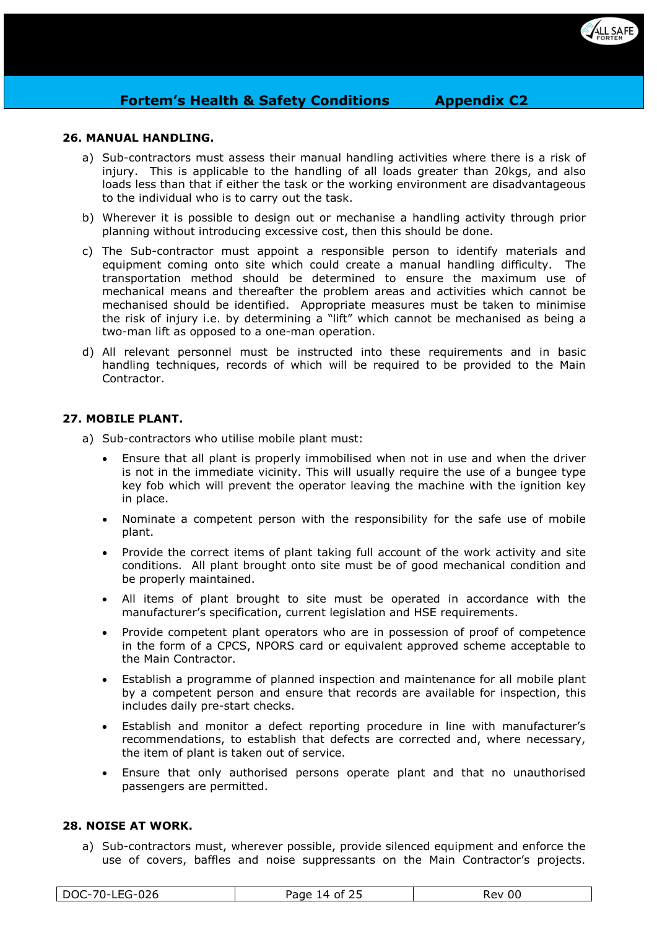

## **26. MANUAL HANDLING.**

- a) Sub-contractors must assess their manual handling activities where there is a risk of injury. This is applicable to the handling of all loads greater than 20kgs, and also loads less than that if either the task or the working environment are disadvantageous to the individual who is to carry out the task.
- b) Wherever it is possible to design out or mechanise a handling activity through prior planning without introducing excessive cost, then this should be done.
- c) The Sub-contractor must appoint a responsible person to identify materials and equipment coming onto site which could create a manual handling difficulty. The transportation method should be determined to ensure the maximum use of mechanical means and thereafter the problem areas and activities which cannot be mechanised should be identified. Appropriate measures must be taken to minimise the risk of injury i.e. by determining a "lift" which cannot be mechanised as being a two-man lift as opposed to a one-man operation.
- d) All relevant personnel must be instructed into these requirements and in basic handling techniques, records of which will be required to be provided to the Main Contractor.

# **27. MOBILE PLANT.**

- a) Sub-contractors who utilise mobile plant must:
	- Ensure that all plant is properly immobilised when not in use and when the driver is not in the immediate vicinity. This will usually require the use of a bungee type key fob which will prevent the operator leaving the machine with the ignition key in place.
	- Nominate a competent person with the responsibility for the safe use of mobile plant.
	- Provide the correct items of plant taking full account of the work activity and site conditions. All plant brought onto site must be of good mechanical condition and be properly maintained.
	- All items of plant brought to site must be operated in accordance with the manufacturer's specification, current legislation and HSE requirements.
	- Provide competent plant operators who are in possession of proof of competence in the form of a CPCS, NPORS card or equivalent approved scheme acceptable to the Main Contractor.
	- Establish a programme of planned inspection and maintenance for all mobile plant by a competent person and ensure that records are available for inspection, this includes daily pre-start checks.
	- Establish and monitor a defect reporting procedure in line with manufacturer's recommendations, to establish that defects are corrected and, where necessary, the item of plant is taken out of service.
	- Ensure that only authorised persons operate plant and that no unauthorised passengers are permitted.

## **28. NOISE AT WORK.**

a) Sub-contractors must, wherever possible, provide silenced equipment and enforce the use of covers, baffles and noise suppressants on the Main Contractor's projects.

| ∟∩ລ⊊<br>$70^{\circ}$<br><b>DOC</b><br>∙∪∠u<br>◡<br>ᄔᄂ | <b>Danc</b><br>Ωt<br>$\sqrt{ }$<br>ʻaue<br>-- | 00<br>RAV.<br>ハコノ |
|-------------------------------------------------------|-----------------------------------------------|-------------------|
|-------------------------------------------------------|-----------------------------------------------|-------------------|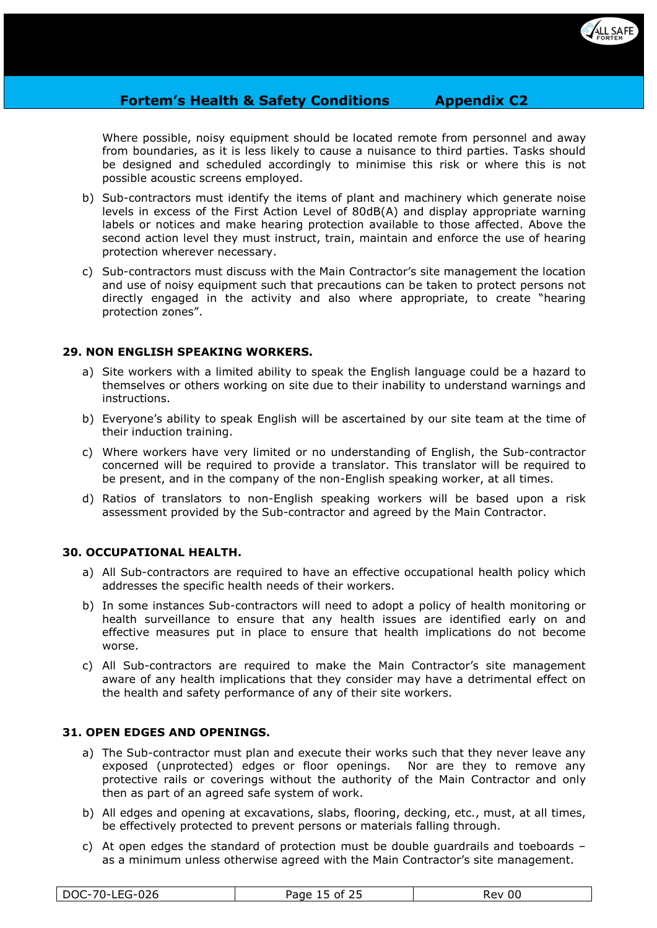

Where possible, noisy equipment should be located remote from personnel and away from boundaries, as it is less likely to cause a nuisance to third parties. Tasks should be designed and scheduled accordingly to minimise this risk or where this is not possible acoustic screens employed.

- b) Sub-contractors must identify the items of plant and machinery which generate noise levels in excess of the First Action Level of 80dB(A) and display appropriate warning labels or notices and make hearing protection available to those affected. Above the second action level they must instruct, train, maintain and enforce the use of hearing protection wherever necessary.
- c) Sub-contractors must discuss with the Main Contractor's site management the location and use of noisy equipment such that precautions can be taken to protect persons not directly engaged in the activity and also where appropriate, to create "hearing protection zones".

## **29. NON ENGLISH SPEAKING WORKERS.**

- a) Site workers with a limited ability to speak the English language could be a hazard to themselves or others working on site due to their inability to understand warnings and instructions.
- b) Everyone's ability to speak English will be ascertained by our site team at the time of their induction training.
- c) Where workers have very limited or no understanding of English, the Sub-contractor concerned will be required to provide a translator. This translator will be required to be present, and in the company of the non-English speaking worker, at all times.
- d) Ratios of translators to non-English speaking workers will be based upon a risk assessment provided by the Sub-contractor and agreed by the Main Contractor.

#### **30. OCCUPATIONAL HEALTH.**

- a) All Sub-contractors are required to have an effective occupational health policy which addresses the specific health needs of their workers.
- b) In some instances Sub-contractors will need to adopt a policy of health monitoring or health surveillance to ensure that any health issues are identified early on and effective measures put in place to ensure that health implications do not become worse.
- c) All Sub-contractors are required to make the Main Contractor's site management aware of any health implications that they consider may have a detrimental effect on the health and safety performance of any of their site workers.

## **31. OPEN EDGES AND OPENINGS.**

- a) The Sub-contractor must plan and execute their works such that they never leave any exposed (unprotected) edges or floor openings. Nor are they to remove any protective rails or coverings without the authority of the Main Contractor and only then as part of an agreed safe system of work.
- b) All edges and opening at excavations, slabs, flooring, decking, etc., must, at all times, be effectively protected to prevent persons or materials falling through.
- c) At open edges the standard of protection must be double guardrails and toeboards as a minimum unless otherwise agreed with the Main Contractor's site management.

| nda<br>$\neg$<br>D)<br>$\cdot \cdot$<br>∙∪∠o<br>. л.<br>-- | $\sim$ $\sim$ $\sim$<br>Ωt<br>Page | 00<br>rev |
|------------------------------------------------------------|------------------------------------|-----------|
|------------------------------------------------------------|------------------------------------|-----------|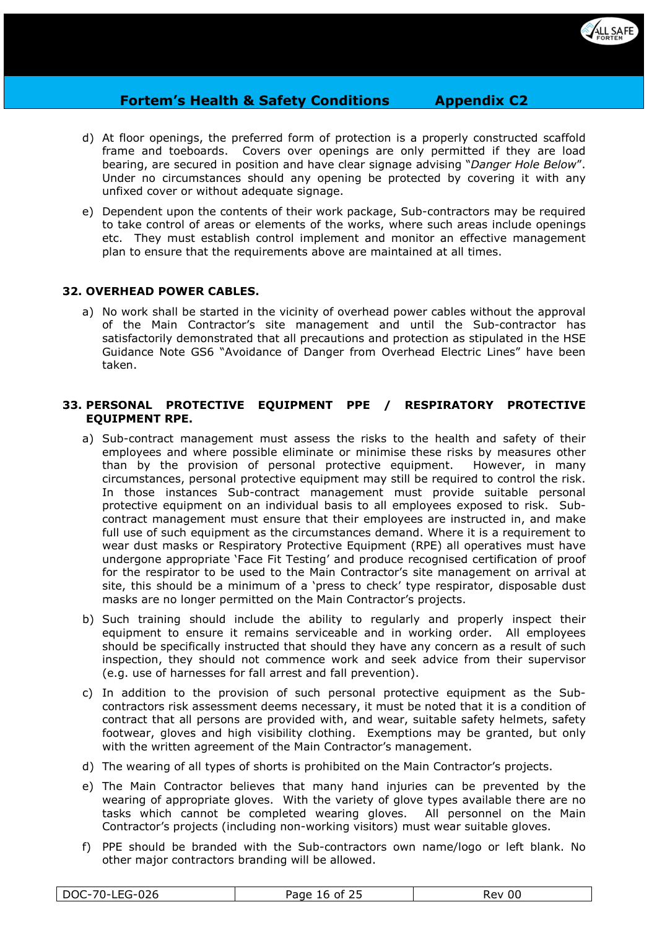

- d) At floor openings, the preferred form of protection is a properly constructed scaffold frame and toeboards. Covers over openings are only permitted if they are load bearing, are secured in position and have clear signage advising "*Danger Hole Below*". Under no circumstances should any opening be protected by covering it with any unfixed cover or without adequate signage.
- e) Dependent upon the contents of their work package, Sub-contractors may be required to take control of areas or elements of the works, where such areas include openings etc. They must establish control implement and monitor an effective management plan to ensure that the requirements above are maintained at all times.

# **32. OVERHEAD POWER CABLES.**

a) No work shall be started in the vicinity of overhead power cables without the approval of the Main Contractor's site management and until the Sub-contractor has satisfactorily demonstrated that all precautions and protection as stipulated in the HSE Guidance Note GS6 "Avoidance of Danger from Overhead Electric Lines" have been taken.

#### **33. PERSONAL PROTECTIVE EQUIPMENT PPE / RESPIRATORY PROTECTIVE EQUIPMENT RPE.**

- a) Sub-contract management must assess the risks to the health and safety of their employees and where possible eliminate or minimise these risks by measures other than by the provision of personal protective equipment. However, in many circumstances, personal protective equipment may still be required to control the risk. In those instances Sub-contract management must provide suitable personal protective equipment on an individual basis to all employees exposed to risk. Subcontract management must ensure that their employees are instructed in, and make full use of such equipment as the circumstances demand. Where it is a requirement to wear dust masks or Respiratory Protective Equipment (RPE) all operatives must have undergone appropriate 'Face Fit Testing' and produce recognised certification of proof for the respirator to be used to the Main Contractor's site management on arrival at site, this should be a minimum of a 'press to check' type respirator, disposable dust masks are no longer permitted on the Main Contractor's projects.
- b) Such training should include the ability to regularly and properly inspect their equipment to ensure it remains serviceable and in working order. All employees should be specifically instructed that should they have any concern as a result of such inspection, they should not commence work and seek advice from their supervisor (e.g. use of harnesses for fall arrest and fall prevention).
- c) In addition to the provision of such personal protective equipment as the Subcontractors risk assessment deems necessary, it must be noted that it is a condition of contract that all persons are provided with, and wear, suitable safety helmets, safety footwear, gloves and high visibility clothing. Exemptions may be granted, but only with the written agreement of the Main Contractor's management.
- d) The wearing of all types of shorts is prohibited on the Main Contractor's projects.
- e) The Main Contractor believes that many hand injuries can be prevented by the wearing of appropriate gloves. With the variety of glove types available there are no tasks which cannot be completed wearing gloves. All personnel on the Main Contractor's projects (including non-working visitors) must wear suitable gloves.
- f) PPE should be branded with the Sub-contractors own name/logo or left blank. No other major contractors branding will be allowed.

| ້ | – 420-55∟<br>DOC-70- | Page<br>.nt<br>,,<br>16. I | 00<br><b>Rev</b> |
|---|----------------------|----------------------------|------------------|
|---|----------------------|----------------------------|------------------|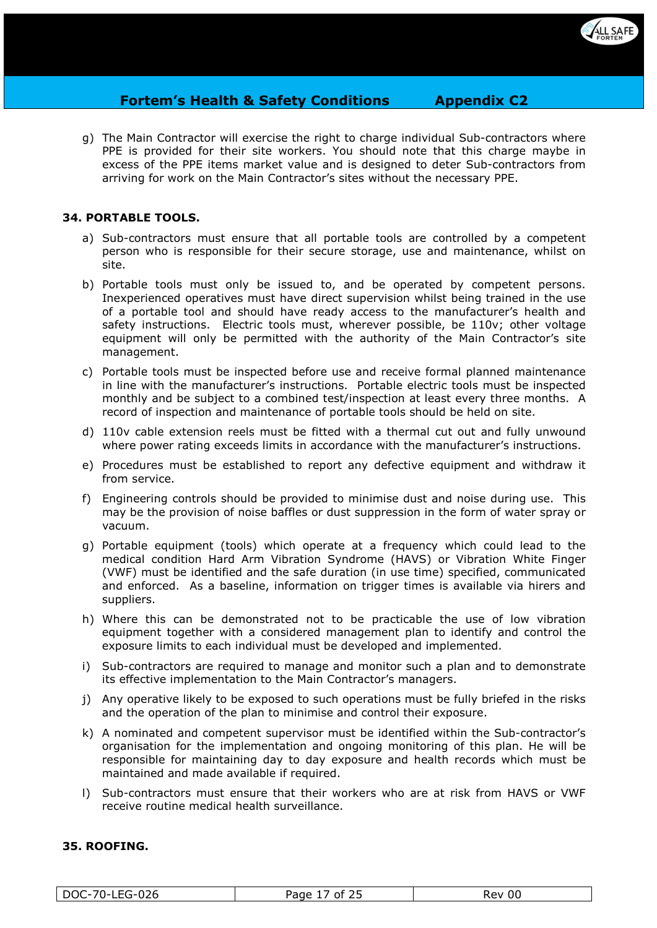

g) The Main Contractor will exercise the right to charge individual Sub-contractors where PPE is provided for their site workers. You should note that this charge maybe in excess of the PPE items market value and is designed to deter Sub-contractors from arriving for work on the Main Contractor's sites without the necessary PPE.

## **34. PORTABLE TOOLS.**

- a) Sub-contractors must ensure that all portable tools are controlled by a competent person who is responsible for their secure storage, use and maintenance, whilst on site.
- b) Portable tools must only be issued to, and be operated by competent persons. Inexperienced operatives must have direct supervision whilst being trained in the use of a portable tool and should have ready access to the manufacturer's health and safety instructions. Electric tools must, wherever possible, be 110v; other voltage equipment will only be permitted with the authority of the Main Contractor's site management.
- c) Portable tools must be inspected before use and receive formal planned maintenance in line with the manufacturer's instructions. Portable electric tools must be inspected monthly and be subject to a combined test/inspection at least every three months. A record of inspection and maintenance of portable tools should be held on site.
- d) 110v cable extension reels must be fitted with a thermal cut out and fully unwound where power rating exceeds limits in accordance with the manufacturer's instructions.
- e) Procedures must be established to report any defective equipment and withdraw it from service.
- f) Engineering controls should be provided to minimise dust and noise during use. This may be the provision of noise baffles or dust suppression in the form of water spray or vacuum.
- g) Portable equipment (tools) which operate at a frequency which could lead to the medical condition Hard Arm Vibration Syndrome (HAVS) or Vibration White Finger (VWF) must be identified and the safe duration (in use time) specified, communicated and enforced. As a baseline, information on trigger times is available via hirers and suppliers.
- h) Where this can be demonstrated not to be practicable the use of low vibration equipment together with a considered management plan to identify and control the exposure limits to each individual must be developed and implemented.
- i) Sub-contractors are required to manage and monitor such a plan and to demonstrate its effective implementation to the Main Contractor's managers.
- j) Any operative likely to be exposed to such operations must be fully briefed in the risks and the operation of the plan to minimise and control their exposure.
- k) A nominated and competent supervisor must be identified within the Sub-contractor's organisation for the implementation and ongoing monitoring of this plan. He will be responsible for maintaining day to day exposure and health records which must be maintained and made available if required.
- l) Sub-contractors must ensure that their workers who are at risk from HAVS or VWF receive routine medical health surveillance.

#### **35. ROOFING.**

|--|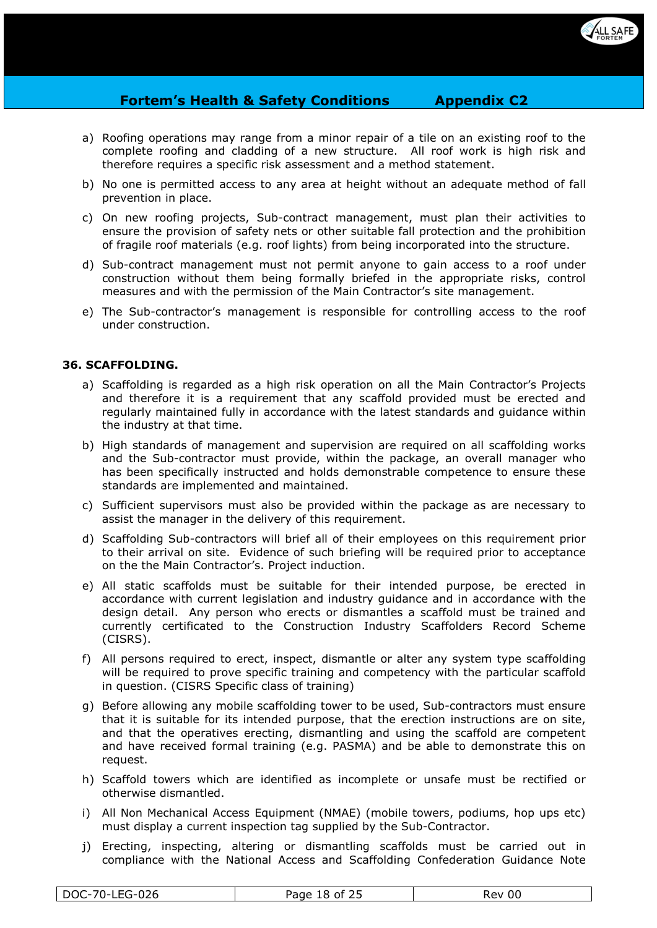

- a) Roofing operations may range from a minor repair of a tile on an existing roof to the complete roofing and cladding of a new structure. All roof work is high risk and therefore requires a specific risk assessment and a method statement.
- b) No one is permitted access to any area at height without an adequate method of fall prevention in place.
- c) On new roofing projects, Sub-contract management, must plan their activities to ensure the provision of safety nets or other suitable fall protection and the prohibition of fragile roof materials (e.g. roof lights) from being incorporated into the structure.
- d) Sub-contract management must not permit anyone to gain access to a roof under construction without them being formally briefed in the appropriate risks, control measures and with the permission of the Main Contractor's site management.
- e) The Sub-contractor's management is responsible for controlling access to the roof under construction.

#### **36. SCAFFOLDING.**

- a) Scaffolding is regarded as a high risk operation on all the Main Contractor's Projects and therefore it is a requirement that any scaffold provided must be erected and regularly maintained fully in accordance with the latest standards and guidance within the industry at that time.
- b) High standards of management and supervision are required on all scaffolding works and the Sub-contractor must provide, within the package, an overall manager who has been specifically instructed and holds demonstrable competence to ensure these standards are implemented and maintained.
- c) Sufficient supervisors must also be provided within the package as are necessary to assist the manager in the delivery of this requirement.
- d) Scaffolding Sub-contractors will brief all of their employees on this requirement prior to their arrival on site. Evidence of such briefing will be required prior to acceptance on the the Main Contractor's. Project induction.
- e) All static scaffolds must be suitable for their intended purpose, be erected in accordance with current legislation and industry guidance and in accordance with the design detail. Any person who erects or dismantles a scaffold must be trained and currently certificated to the Construction Industry Scaffolders Record Scheme (CISRS).
- f) All persons required to erect, inspect, dismantle or alter any system type scaffolding will be required to prove specific training and competency with the particular scaffold in question. (CISRS Specific class of training)
- g) Before allowing any mobile scaffolding tower to be used, Sub-contractors must ensure that it is suitable for its intended purpose, that the erection instructions are on site, and that the operatives erecting, dismantling and using the scaffold are competent and have received formal training (e.g. PASMA) and be able to demonstrate this on request.
- h) Scaffold towers which are identified as incomplete or unsafe must be rectified or otherwise dismantled.
- i) All Non Mechanical Access Equipment (NMAE) (mobile towers, podiums, hop ups etc) must display a current inspection tag supplied by the Sub-Contractor.
- j) Erecting, inspecting, altering or dismantling scaffolds must be carried out in compliance with the National Access and Scaffolding Confederation Guidance Note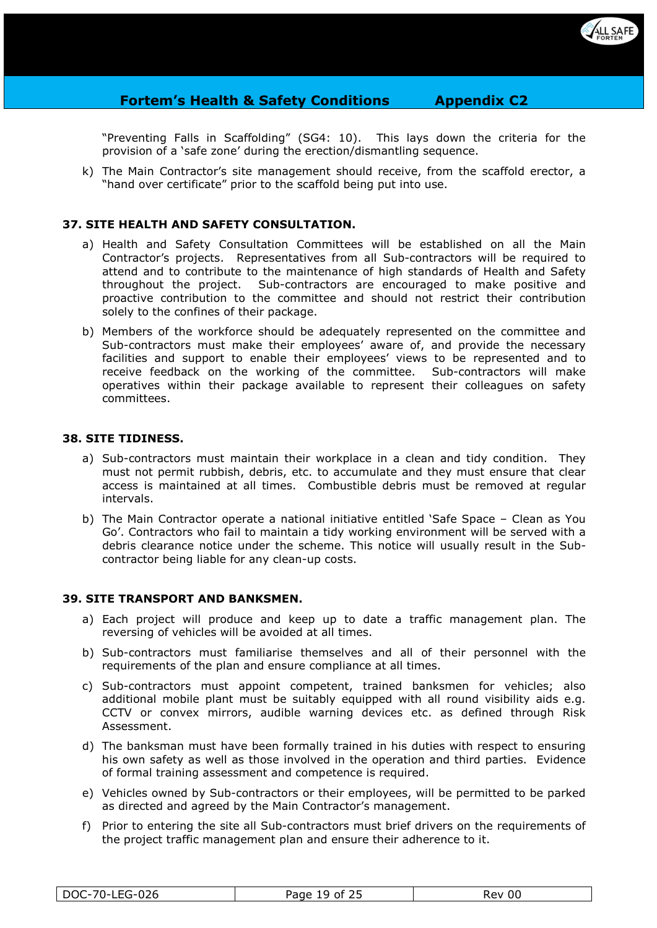

"Preventing Falls in Scaffolding" (SG4: 10). This lays down the criteria for the provision of a 'safe zone' during the erection/dismantling sequence.

k) The Main Contractor's site management should receive, from the scaffold erector, a "hand over certificate" prior to the scaffold being put into use.

# **37. SITE HEALTH AND SAFETY CONSULTATION.**

- a) Health and Safety Consultation Committees will be established on all the Main Contractor's projects. Representatives from all Sub-contractors will be required to attend and to contribute to the maintenance of high standards of Health and Safety throughout the project. Sub-contractors are encouraged to make positive and proactive contribution to the committee and should not restrict their contribution solely to the confines of their package.
- b) Members of the workforce should be adequately represented on the committee and Sub-contractors must make their employees' aware of, and provide the necessary facilities and support to enable their employees' views to be represented and to receive feedback on the working of the committee. Sub-contractors will make operatives within their package available to represent their colleagues on safety committees.

#### **38. SITE TIDINESS.**

- a) Sub-contractors must maintain their workplace in a clean and tidy condition. They must not permit rubbish, debris, etc. to accumulate and they must ensure that clear access is maintained at all times. Combustible debris must be removed at regular intervals.
- b) The Main Contractor operate a national initiative entitled 'Safe Space Clean as You Go'. Contractors who fail to maintain a tidy working environment will be served with a debris clearance notice under the scheme. This notice will usually result in the Subcontractor being liable for any clean-up costs.

#### **39. SITE TRANSPORT AND BANKSMEN.**

- a) Each project will produce and keep up to date a traffic management plan. The reversing of vehicles will be avoided at all times.
- b) Sub-contractors must familiarise themselves and all of their personnel with the requirements of the plan and ensure compliance at all times.
- c) Sub-contractors must appoint competent, trained banksmen for vehicles; also additional mobile plant must be suitably equipped with all round visibility aids e.g. CCTV or convex mirrors, audible warning devices etc. as defined through Risk Assessment.
- d) The banksman must have been formally trained in his duties with respect to ensuring his own safety as well as those involved in the operation and third parties. Evidence of formal training assessment and competence is required.
- e) Vehicles owned by Sub-contractors or their employees, will be permitted to be parked as directed and agreed by the Main Contractor's management.
- f) Prior to entering the site all Sub-contractors must brief drivers on the requirements of the project traffic management plan and ensure their adherence to it.

| LEG-026 | Page                | 00   |
|---------|---------------------|------|
| DOC-70- | __ے of <del>د</del> | Rev. |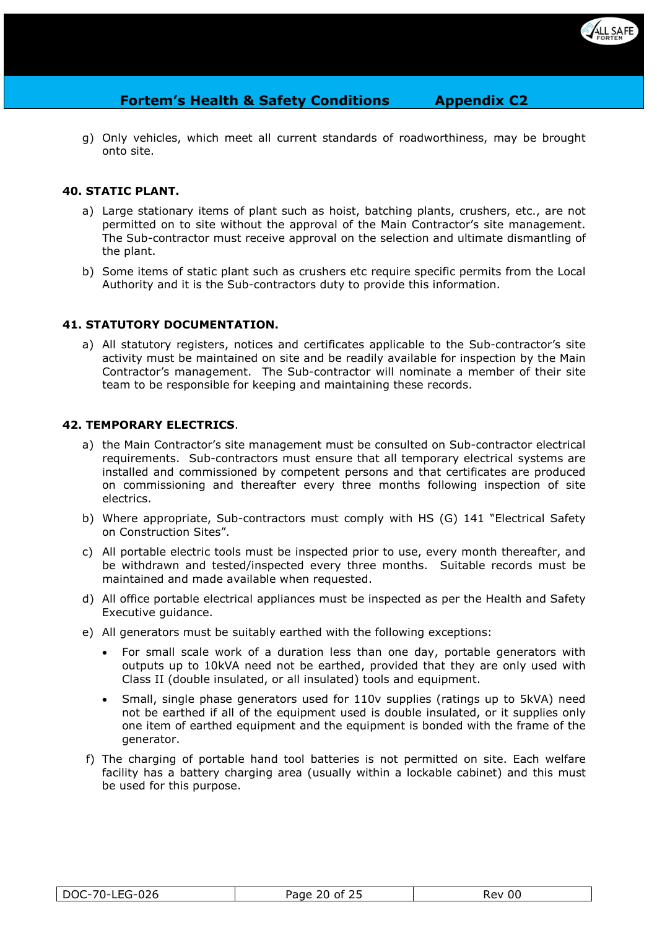

g) Only vehicles, which meet all current standards of roadworthiness, may be brought onto site.

## **40. STATIC PLANT.**

- a) Large stationary items of plant such as hoist, batching plants, crushers, etc., are not permitted on to site without the approval of the Main Contractor's site management. The Sub-contractor must receive approval on the selection and ultimate dismantling of the plant.
- b) Some items of static plant such as crushers etc require specific permits from the Local Authority and it is the Sub-contractors duty to provide this information.

#### **41. STATUTORY DOCUMENTATION.**

a) All statutory registers, notices and certificates applicable to the Sub-contractor's site activity must be maintained on site and be readily available for inspection by the Main Contractor's management. The Sub-contractor will nominate a member of their site team to be responsible for keeping and maintaining these records.

#### **42. TEMPORARY ELECTRICS**.

- a) the Main Contractor's site management must be consulted on Sub-contractor electrical requirements. Sub-contractors must ensure that all temporary electrical systems are installed and commissioned by competent persons and that certificates are produced on commissioning and thereafter every three months following inspection of site electrics.
- b) Where appropriate, Sub-contractors must comply with HS (G) 141 "Electrical Safety on Construction Sites".
- c) All portable electric tools must be inspected prior to use, every month thereafter, and be withdrawn and tested/inspected every three months. Suitable records must be maintained and made available when requested.
- d) All office portable electrical appliances must be inspected as per the Health and Safety Executive guidance.
- e) All generators must be suitably earthed with the following exceptions:
	- For small scale work of a duration less than one day, portable generators with outputs up to 10kVA need not be earthed, provided that they are only used with Class II (double insulated, or all insulated) tools and equipment.
	- Small, single phase generators used for 110v supplies (ratings up to 5kVA) need not be earthed if all of the equipment used is double insulated, or it supplies only one item of earthed equipment and the equipment is bonded with the frame of the generator.
- f) The charging of portable hand tool batteries is not permitted on site. Each welfare facility has a battery charging area (usually within a lockable cabinet) and this must be used for this purpose.

| -LEG-026<br>DOC-70- | of $25$<br>Page<br>20.<br>້ | oc<br>Rev |
|---------------------|-----------------------------|-----------|
|                     |                             |           |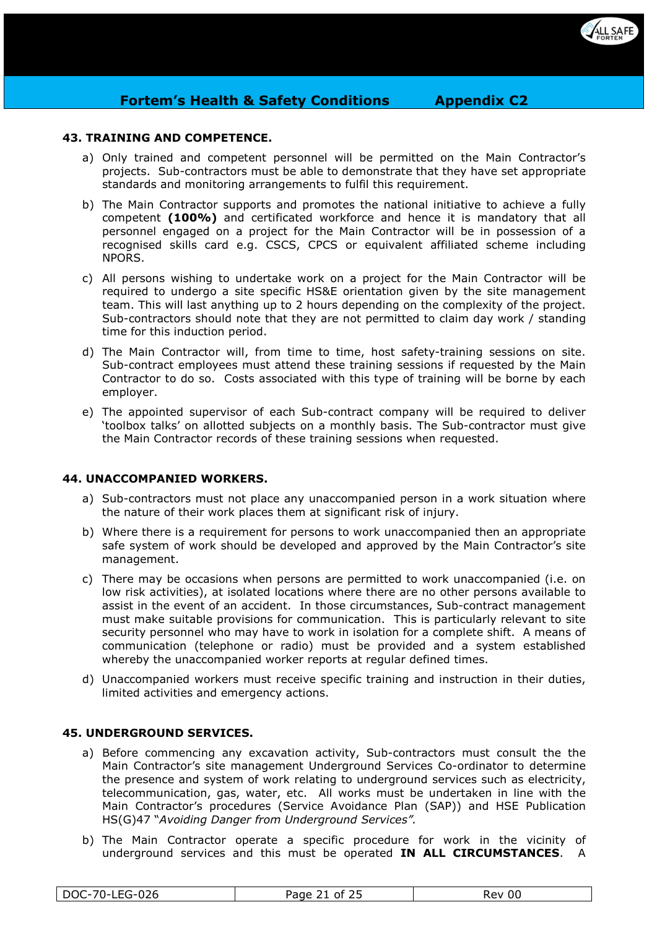

## **43. TRAINING AND COMPETENCE.**

- a) Only trained and competent personnel will be permitted on the Main Contractor's projects. Sub-contractors must be able to demonstrate that they have set appropriate standards and monitoring arrangements to fulfil this requirement.
- b) The Main Contractor supports and promotes the national initiative to achieve a fully competent **(100%)** and certificated workforce and hence it is mandatory that all personnel engaged on a project for the Main Contractor will be in possession of a recognised skills card e.g. CSCS, CPCS or equivalent affiliated scheme including NPORS.
- c) All persons wishing to undertake work on a project for the Main Contractor will be required to undergo a site specific HS&E orientation given by the site management team. This will last anything up to 2 hours depending on the complexity of the project. Sub-contractors should note that they are not permitted to claim day work / standing time for this induction period.
- d) The Main Contractor will, from time to time, host safety-training sessions on site. Sub-contract employees must attend these training sessions if requested by the Main Contractor to do so. Costs associated with this type of training will be borne by each employer.
- e) The appointed supervisor of each Sub-contract company will be required to deliver 'toolbox talks' on allotted subjects on a monthly basis. The Sub-contractor must give the Main Contractor records of these training sessions when requested.

## **44. UNACCOMPANIED WORKERS.**

- a) Sub-contractors must not place any unaccompanied person in a work situation where the nature of their work places them at significant risk of injury.
- b) Where there is a requirement for persons to work unaccompanied then an appropriate safe system of work should be developed and approved by the Main Contractor's site management.
- c) There may be occasions when persons are permitted to work unaccompanied (i.e. on low risk activities), at isolated locations where there are no other persons available to assist in the event of an accident. In those circumstances, Sub-contract management must make suitable provisions for communication. This is particularly relevant to site security personnel who may have to work in isolation for a complete shift. A means of communication (telephone or radio) must be provided and a system established whereby the unaccompanied worker reports at regular defined times.
- d) Unaccompanied workers must receive specific training and instruction in their duties, limited activities and emergency actions.

#### **45. UNDERGROUND SERVICES.**

- a) Before commencing any excavation activity, Sub-contractors must consult the the Main Contractor's site management Underground Services Co-ordinator to determine the presence and system of work relating to underground services such as electricity, telecommunication, gas, water, etc. All works must be undertaken in line with the Main Contractor's procedures (Service Avoidance Plan (SAP)) and HSE Publication HS(G)47 "*Avoiding Danger from Underground Services".*
- b) The Main Contractor operate a specific procedure for work in the vicinity of underground services and this must be operated **IN ALL CIRCUMSTANCES**. A

|  | DOC-70-LEG-026 | Page 21 of 25 | Rev 00 |
|--|----------------|---------------|--------|
|--|----------------|---------------|--------|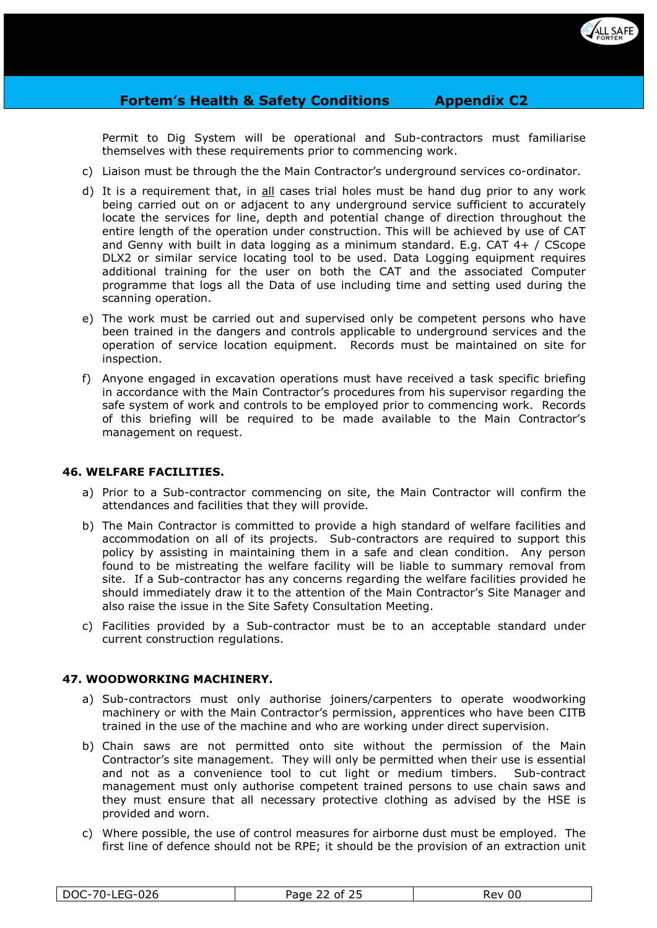

Permit to Dig System will be operational and Sub-contractors must familiarise themselves with these requirements prior to commencing work.

- c) Liaison must be through the the Main Contractor's underground services co-ordinator.
- d) It is a requirement that, in all cases trial holes must be hand dug prior to any work being carried out on or adjacent to any underground service sufficient to accurately locate the services for line, depth and potential change of direction throughout the entire length of the operation under construction. This will be achieved by use of CAT and Genny with built in data logging as a minimum standard. E.g. CAT  $4+ /$  CScope DLX2 or similar service locating tool to be used. Data Logging equipment requires additional training for the user on both the CAT and the associated Computer programme that logs all the Data of use including time and setting used during the scanning operation.
- e) The work must be carried out and supervised only be competent persons who have been trained in the dangers and controls applicable to underground services and the operation of service location equipment. Records must be maintained on site for inspection.
- f) Anyone engaged in excavation operations must have received a task specific briefing in accordance with the Main Contractor's procedures from his supervisor regarding the safe system of work and controls to be employed prior to commencing work. Records of this briefing will be required to be made available to the Main Contractor's management on request.

#### **46. WELFARE FACILITIES.**

- a) Prior to a Sub-contractor commencing on site, the Main Contractor will confirm the attendances and facilities that they will provide.
- b) The Main Contractor is committed to provide a high standard of welfare facilities and accommodation on all of its projects. Sub-contractors are required to support this policy by assisting in maintaining them in a safe and clean condition. Any person found to be mistreating the welfare facility will be liable to summary removal from site. If a Sub-contractor has any concerns regarding the welfare facilities provided he should immediately draw it to the attention of the Main Contractor's Site Manager and also raise the issue in the Site Safety Consultation Meeting.
- c) Facilities provided by a Sub-contractor must be to an acceptable standard under current construction regulations.

#### **47. WOODWORKING MACHINERY.**

- a) Sub-contractors must only authorise joiners/carpenters to operate woodworking machinery or with the Main Contractor's permission, apprentices who have been CITB trained in the use of the machine and who are working under direct supervision.
- b) Chain saws are not permitted onto site without the permission of the Main Contractor's site management. They will only be permitted when their use is essential and not as a convenience tool to cut light or medium timbers. Sub-contract management must only authorise competent trained persons to use chain saws and they must ensure that all necessary protective clothing as advised by the HSE is provided and worn.
- c) Where possible, the use of control measures for airborne dust must be employed. The first line of defence should not be RPE; it should be the provision of an extraction unit

|--|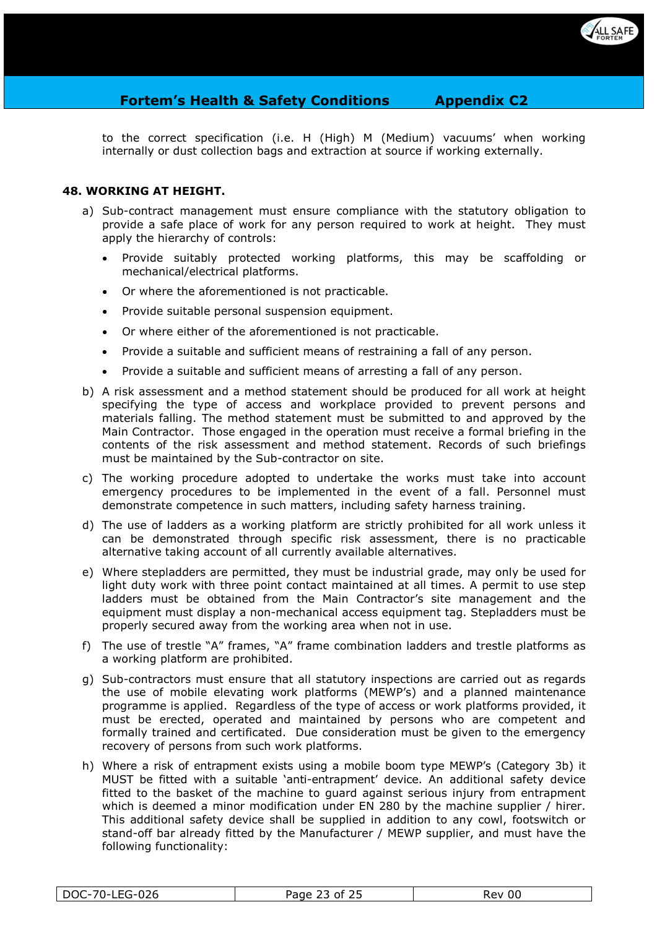

to the correct specification (i.e. H (High) M (Medium) vacuums' when working internally or dust collection bags and extraction at source if working externally.

# **48. WORKING AT HEIGHT.**

- a) Sub-contract management must ensure compliance with the statutory obligation to provide a safe place of work for any person required to work at height. They must apply the hierarchy of controls:
	- Provide suitably protected working platforms, this may be scaffolding or mechanical/electrical platforms.
	- Or where the aforementioned is not practicable.
	- Provide suitable personal suspension equipment.
	- Or where either of the aforementioned is not practicable.
	- Provide a suitable and sufficient means of restraining a fall of any person.
	- Provide a suitable and sufficient means of arresting a fall of any person.
- b) A risk assessment and a method statement should be produced for all work at height specifying the type of access and workplace provided to prevent persons and materials falling. The method statement must be submitted to and approved by the Main Contractor. Those engaged in the operation must receive a formal briefing in the contents of the risk assessment and method statement. Records of such briefings must be maintained by the Sub-contractor on site.
- c) The working procedure adopted to undertake the works must take into account emergency procedures to be implemented in the event of a fall. Personnel must demonstrate competence in such matters, including safety harness training.
- d) The use of ladders as a working platform are strictly prohibited for all work unless it can be demonstrated through specific risk assessment, there is no practicable alternative taking account of all currently available alternatives.
- e) Where stepladders are permitted, they must be industrial grade, may only be used for light duty work with three point contact maintained at all times. A permit to use step ladders must be obtained from the Main Contractor's site management and the equipment must display a non-mechanical access equipment tag. Stepladders must be properly secured away from the working area when not in use.
- f) The use of trestle "A" frames, "A" frame combination ladders and trestle platforms as a working platform are prohibited.
- g) Sub-contractors must ensure that all statutory inspections are carried out as regards the use of mobile elevating work platforms (MEWP's) and a planned maintenance programme is applied. Regardless of the type of access or work platforms provided, it must be erected, operated and maintained by persons who are competent and formally trained and certificated. Due consideration must be given to the emergency recovery of persons from such work platforms.
- h) Where a risk of entrapment exists using a mobile boom type MEWP's (Category 3b) it MUST be fitted with a suitable 'anti-entrapment' device. An additional safety device fitted to the basket of the machine to guard against serious injury from entrapment which is deemed a minor modification under EN 280 by the machine supplier / hirer. This additional safety device shall be supplied in addition to any cowl, footswitch or stand-off bar already fitted by the Manufacturer / MEWP supplier, and must have the following functionality:

| 026<br>$70^{\circ}$<br>DOC-<br>$. \simו−טᄔᄓ$ | Page<br>- of<br>--- | 00<br><b>Rev</b> |
|----------------------------------------------|---------------------|------------------|
|                                              |                     |                  |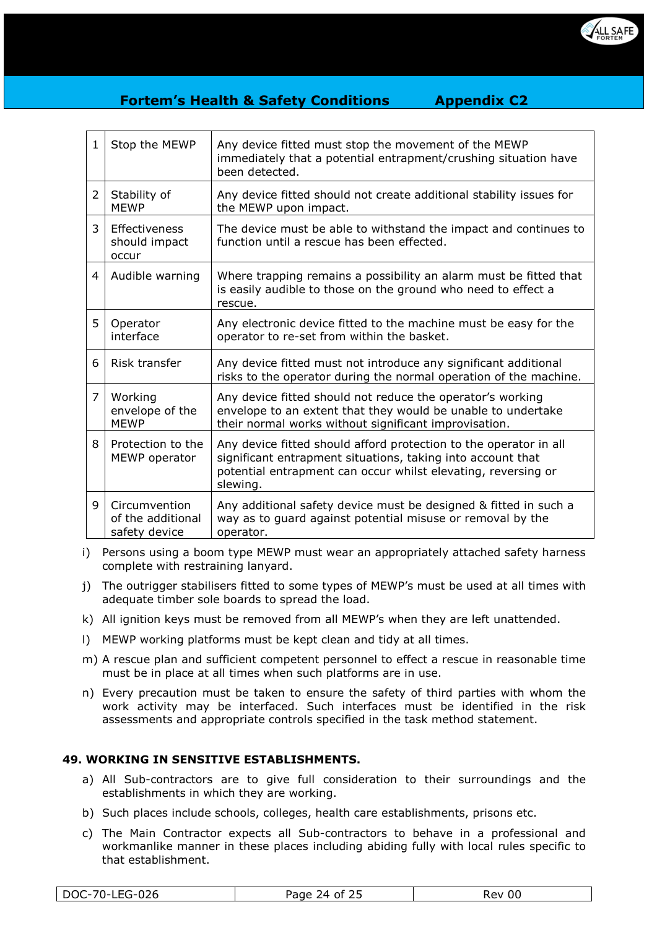

| $\mathbf{1}$   | Stop the MEWP                                       | Any device fitted must stop the movement of the MEWP<br>immediately that a potential entrapment/crushing situation have<br>been detected.                                                                     |
|----------------|-----------------------------------------------------|---------------------------------------------------------------------------------------------------------------------------------------------------------------------------------------------------------------|
| $\overline{2}$ | Stability of<br><b>MEWP</b>                         | Any device fitted should not create additional stability issues for<br>the MEWP upon impact.                                                                                                                  |
| 3              | Effectiveness<br>should impact<br>occur             | The device must be able to withstand the impact and continues to<br>function until a rescue has been effected.                                                                                                |
| 4              | Audible warning                                     | Where trapping remains a possibility an alarm must be fitted that<br>is easily audible to those on the ground who need to effect a<br>rescue.                                                                 |
| 5              | Operator<br>interface                               | Any electronic device fitted to the machine must be easy for the<br>operator to re-set from within the basket.                                                                                                |
| 6              | Risk transfer                                       | Any device fitted must not introduce any significant additional<br>risks to the operator during the normal operation of the machine.                                                                          |
| 7              | Working<br>envelope of the<br><b>MEWP</b>           | Any device fitted should not reduce the operator's working<br>envelope to an extent that they would be unable to undertake<br>their normal works without significant improvisation.                           |
| 8              | Protection to the<br>MEWP operator                  | Any device fitted should afford protection to the operator in all<br>significant entrapment situations, taking into account that<br>potential entrapment can occur whilst elevating, reversing or<br>slewing. |
| 9              | Circumvention<br>of the additional<br>safety device | Any additional safety device must be designed & fitted in such a<br>way as to guard against potential misuse or removal by the<br>operator.                                                                   |

- i) Persons using a boom type MEWP must wear an appropriately attached safety harness complete with restraining lanyard.
- j) The outrigger stabilisers fitted to some types of MEWP's must be used at all times with adequate timber sole boards to spread the load.
- k) All ignition keys must be removed from all MEWP's when they are left unattended.
- l) MEWP working platforms must be kept clean and tidy at all times.
- m) A rescue plan and sufficient competent personnel to effect a rescue in reasonable time must be in place at all times when such platforms are in use.
- n) Every precaution must be taken to ensure the safety of third parties with whom the work activity may be interfaced. Such interfaces must be identified in the risk assessments and appropriate controls specified in the task method statement.

## **49. WORKING IN SENSITIVE ESTABLISHMENTS.**

- a) All Sub-contractors are to give full consideration to their surroundings and the establishments in which they are working.
- b) Such places include schools, colleges, health care establishments, prisons etc.
- c) The Main Contractor expects all Sub-contractors to behave in a professional and workmanlike manner in these places including abiding fully with local rules specific to that establishment.

| DOC-70-LEG-026 | Fつに<br>Page 24 of 25 | Rev 00 |
|----------------|----------------------|--------|
|----------------|----------------------|--------|